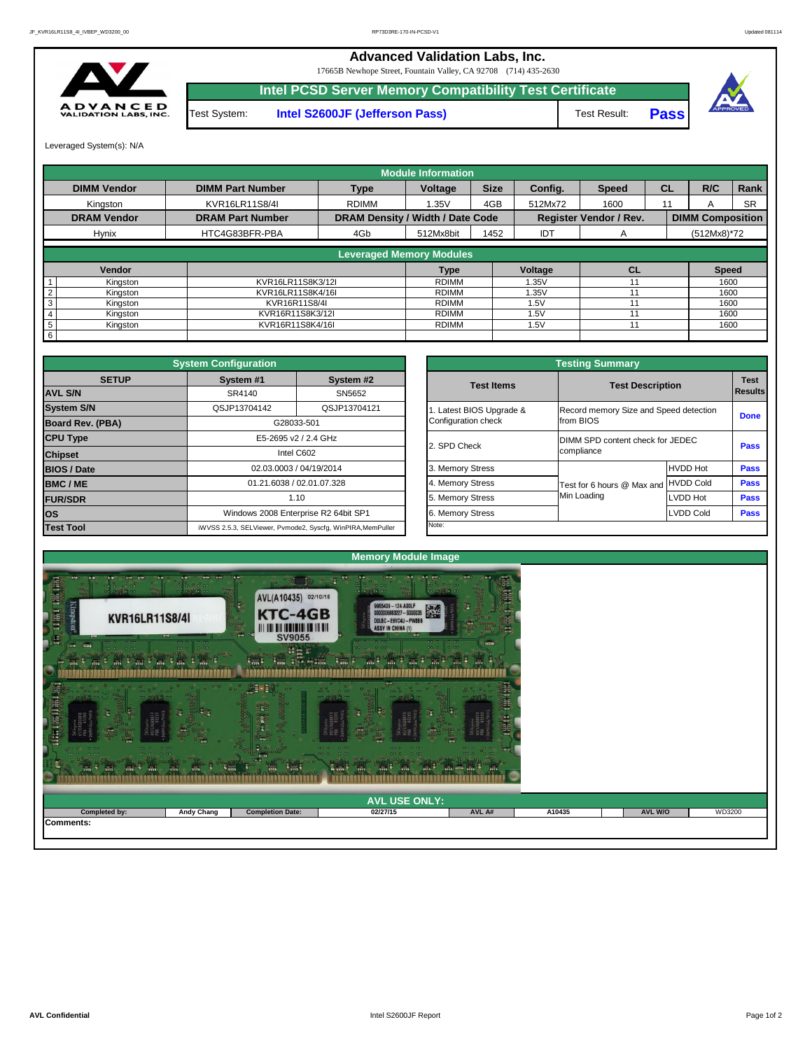| <b>TANK</b><br><b>Red</b><br><b>RAL</b> | $\frac{1}{2}$ and<br>-44<br>$\mathbb{R}^n$ | - III<br>5.771          | <br><b>Section</b><br><b>E</b> m<br><b>MI</b><br><b>IMA</b><br>m <sub>2</sub> | $-00$ $-0$ $-00$<br><b>CONTRACT PART I</b><br>W |        |                |        |
|-----------------------------------------|--------------------------------------------|-------------------------|-------------------------------------------------------------------------------|-------------------------------------------------|--------|----------------|--------|
|                                         |                                            |                         | <b>AVL USE ONLY:</b>                                                          |                                                 |        |                |        |
| <b>Completed by:</b>                    | <b>Andy Chang</b>                          | <b>Completion Date:</b> | 02/27/15                                                                      | AVL A#                                          | A10435 | <b>AVL W/O</b> | WD3200 |
| <b>Comments:</b>                        |                                            |                         |                                                                               |                                                 |        |                |        |



|                         |                                                 | <b>Testing Summary</b>                              |                  |                               |  |  |  |
|-------------------------|-------------------------------------------------|-----------------------------------------------------|------------------|-------------------------------|--|--|--|
| System #2<br>SN5652     | <b>Test Items</b>                               | <b>Test Description</b>                             |                  | <b>Test</b><br><b>Results</b> |  |  |  |
| QSJP13704121            | 1. Latest BIOS Upgrade &<br>Configuration check | Record memory Size and Speed detection<br>from BIOS |                  | <b>Done</b>                   |  |  |  |
| <b>GHz</b>              | 2. SPD Check                                    | DIMM SPD content check for JEDEC<br>compliance      |                  | <b>Pass</b>                   |  |  |  |
| /2014                   | 3. Memory Stress                                |                                                     | <b>HVDD Hot</b>  | <b>Pass</b>                   |  |  |  |
| 07.328                  | 4. Memory Stress                                | Test for 6 hours @ Max and                          | <b>HVDD Cold</b> | <b>Pass</b>                   |  |  |  |
|                         | 5. Memory Stress                                | Min Loading                                         | LVDD Hot         | <b>Pass</b>                   |  |  |  |
| R2 64bit SP1            | 6. Memory Stress                                |                                                     | <b>LVDD Cold</b> |                               |  |  |  |
| cfg, WinPIRA, MemPuller | Note:                                           |                                                     |                  |                               |  |  |  |

|                         | <b>System Configuration</b>          |                                                             |                       | <b>Testing Summary</b>                 |                  |             |  |  |
|-------------------------|--------------------------------------|-------------------------------------------------------------|-----------------------|----------------------------------------|------------------|-------------|--|--|
| <b>SETUP</b>            | System #1                            | System #2                                                   | <b>Test Items</b>     | <b>Test Description</b>                |                  | <b>Test</b> |  |  |
| <b>AVL S/N</b>          | SR4140                               | SN5652                                                      |                       |                                        |                  |             |  |  |
| <b>System S/N</b>       | QSJP13704142                         | QSJP13704121                                                | Latest BIOS Upgrade & | Record memory Size and Speed detection |                  | <b>Done</b> |  |  |
| <b>Board Rev. (PBA)</b> |                                      | G28033-501                                                  | Configuration check   | from BIOS                              |                  |             |  |  |
| <b>CPU Type</b>         |                                      | E5-2695 v2 / 2.4 GHz                                        | 2. SPD Check          | DIMM SPD content check for JEDEC       |                  | <b>Pass</b> |  |  |
| <b>Chipset</b>          |                                      | Intel C602                                                  |                       | compliance                             |                  |             |  |  |
| <b>BIOS / Date</b>      |                                      | 02.03.0003 / 04/19/2014                                     | 3. Memory Stress      |                                        | <b>HVDD Hot</b>  | <b>Pass</b> |  |  |
| <b>BMC/ME</b>           |                                      | 01.21.6038 / 02.01.07.328                                   | 4. Memory Stress      | Test for 6 hours @ Max and             | HVDD Cold        | <b>Pass</b> |  |  |
| <b>FUR/SDR</b>          |                                      | 1.10                                                        | 5. Memory Stress      | Min Loading                            | LVDD Hot         | <b>Pass</b> |  |  |
| <b>OS</b>               | Windows 2008 Enterprise R2 64bit SP1 |                                                             | 6. Memory Stress      |                                        | <b>LVDD Cold</b> |             |  |  |
| <b>Test Tool</b>        |                                      | iWVSS 2.5.3, SELViewer, Pvmode2, Syscfg, WinPIRA, MemPuller | Note:                 |                                        |                  |             |  |  |

**Intel PCSD Server Memory Compatibility Test Certificate** Test System: **Intel S2600JF (Jefferson Pass)** Test Result:

|                    |                         |                                         | <b>Module Information</b> |             |            |                               |           |                         |             |
|--------------------|-------------------------|-----------------------------------------|---------------------------|-------------|------------|-------------------------------|-----------|-------------------------|-------------|
| <b>DIMM Vendor</b> | <b>DIMM Part Number</b> | <b>Type</b>                             | <b>Voltage</b>            | <b>Size</b> | Config.    | <b>Speed</b>                  | <b>CL</b> | R/C                     | <b>Rank</b> |
| Kingston           | KVR16LR11S8/4I          | <b>RDIMM</b>                            | 1.35V                     | 4GB         | 512Mx72    | 1600                          | 11        |                         | <b>SR</b>   |
| <b>DRAM Vendor</b> | <b>DRAM Part Number</b> | <b>DRAM Density / Width / Date Code</b> |                           |             |            | <b>Register Vendor / Rev.</b> |           | <b>DIMM Composition</b> |             |
| <b>Hynix</b>       | HTC4G83BFR-PBA          | 4Gb                                     | 512Mx8bit                 | 1452        | <b>IDT</b> | $\mathsf{A}$                  |           | $(512Mx8)*72$           |             |
|                    |                         | <b>Leveraged Memory Modules</b>         |                           |             |            |                               |           |                         |             |
|                    |                         |                                         |                           |             |            |                               |           |                         |             |
| Vendor             |                         |                                         | <b>Type</b>               |             | Voltage    | <b>CL</b>                     |           | <b>Speed</b>            |             |
| Kingston           | KVR16LR11S8K3/12I       |                                         | <b>RDIMM</b>              |             | .35V       |                               |           | 1600                    |             |
| Kingston           | KVR16LR11S8K4/16I       |                                         | <b>RDIMM</b>              |             | .35V       |                               |           | 1600                    |             |
| Kingston<br>3      | KVR16R11S8/4I           |                                         | RDIMM                     |             | 1.5V       |                               |           | 1600                    |             |
| Kingston           | KVR16R11S8K3/12I        |                                         | <b>RDIMM</b>              |             | 1.5V       |                               |           | 1600                    |             |
| Kingston<br>5      | KVR16R11S8K4/16I        |                                         | RDIMM                     |             | 1.5V       |                               |           | 1600                    |             |
| 6                  |                         |                                         |                           |             |            |                               |           |                         |             |

**Pass**



17665B Newhope Street, Fountain Valley, CA 92708 (714) 435-2630



## **Advanced Validation Labs, Inc.**

Leveraged System(s): N/A